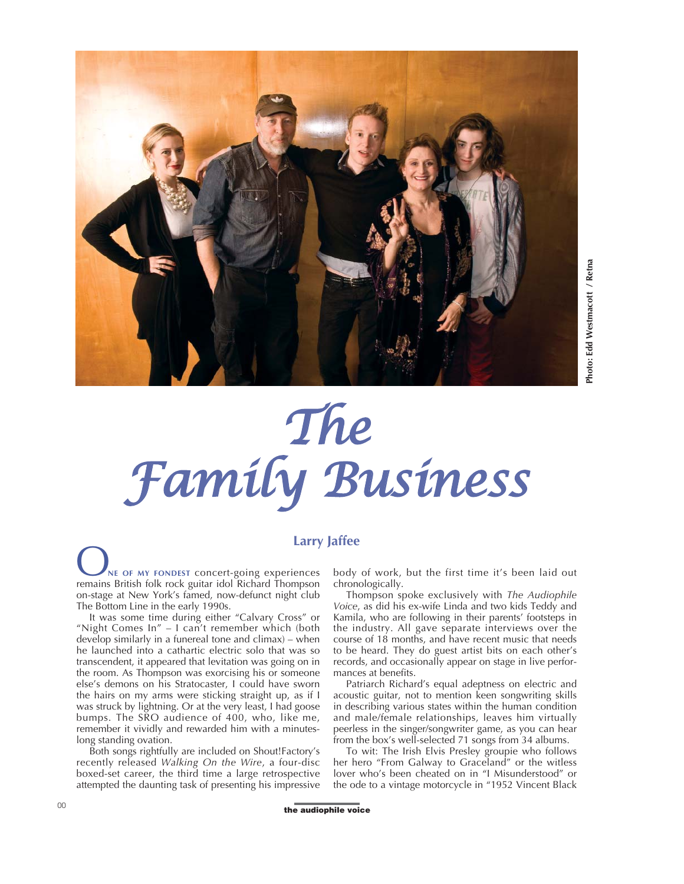

## *The Family Business*

**Larry Jaffee**<br> **NE OF MY FONDEST concert-going experiences** body<br> **NE OF MY FONDEST concert-going experiences** body<br>
remains British folk rock guitar idol Richard Thompson chrone remains British folk rock guitar idol Richard Thompson on-stage at New York's famed, now-defunct night club The Bottom Line in the early 1990s.

It was some time during either "Calvary Cross" or "Night Comes In" – I can't remember which (both develop similarly in a funereal tone and climax) – when he launched into a cathartic electric solo that was so transcendent, it appeared that levitation was going on in the room. As Thompson was exorcising his or someone else's demons on his Stratocaster, I could have sworn the hairs on my arms were sticking straight up, as if I was struck by lightning. Or at the very least, I had goose bumps. The SRO audience of 400, who, like me, remember it vividly and rewarded him with a minuteslong standing ovation.

Both songs rightfully are included on Shout!Factory's recently released *Walking On the Wire*, a four-disc boxed-set career, the third time a large retrospective attempted the daunting task of presenting his impressive

body of work, but the first time it's been laid out chronologically.

Thompson spoke exclusively with *The Audiophile Voice*, as did his ex-wife Linda and two kids Teddy and Kamila, who are following in their parents' footsteps in the industry. All gave separate interviews over the course of 18 months, and have recent music that needs to be heard. They do guest artist bits on each other's records, and occasionally appear on stage in live performances at benefits.

Patriarch Richard's equal adeptness on electric and acoustic guitar, not to mention keen songwriting skills in describing various states within the human condition and male/female relationships, leaves him virtually peerless in the singer/songwriter game, as you can hear from the box's well-selected 71 songs from 34 albums.

To wit: The Irish Elvis Presley groupie who follows her hero "From Galway to Graceland" or the witless lover who's been cheated on in "I Misunderstood" or the ode to a vintage motorcycle in "1952 Vincent Black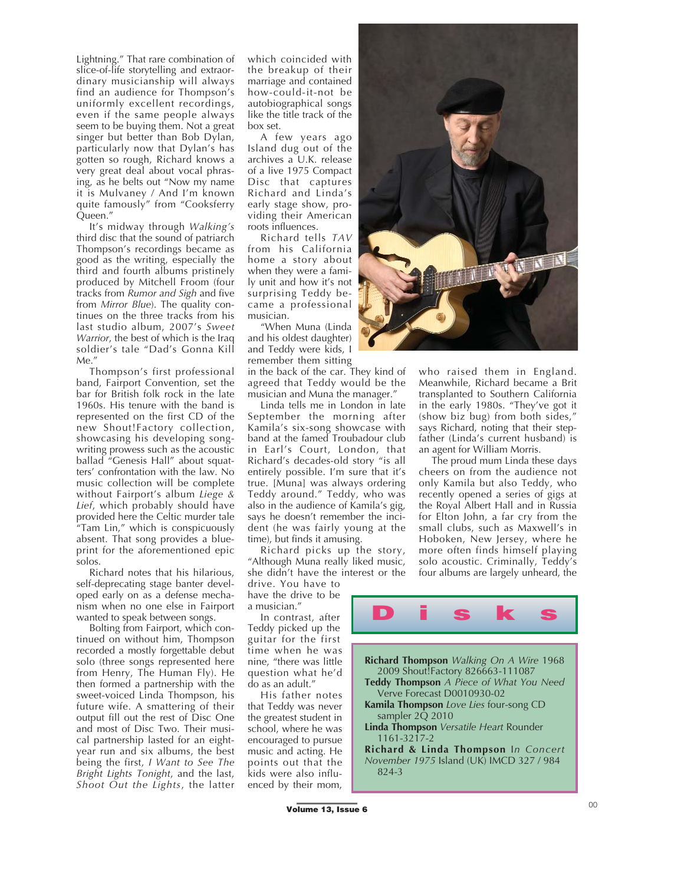Lightning." That rare combination of slice-of-life storytelling and extraordinary musicianship will always find an audience for Thompson's uniformly excellent recordings, even if the same people always seem to be buying them. Not a great singer but better than Bob Dylan, particularly now that Dylan's has gotten so rough, Richard knows a very great deal about vocal phrasing, as he belts out "Now my name it is Mulvaney / And I'm known quite famously" from "Cooksferry Queen."

It's midway through *Walking's* third disc that the sound of patriarch Thompson's recordings became as good as the writing, especially the third and fourth albums pristinely produced by Mitchell Froom (four tracks from *Rumor and Sigh* and five from *Mirror Blue*). The quality continues on the three tracks from his last studio album, 2007's *Sweet Warrior*, the best of which is the Iraq soldier's tale "Dad's Gonna Kill Me."

Thompson's first professional band, Fairport Convention, set the bar for British folk rock in the late 1960s. His tenure with the band is represented on the first CD of the new Shout!Factory collection, showcasing his developing songwriting prowess such as the acoustic ballad "Genesis Hall" about squatters' confrontation with the law. No music collection will be complete without Fairport's album *Liege & Lief*, which probably should have provided here the Celtic murder tale "Tam Lin," which is conspicuously absent. That song provides a blueprint for the aforementioned epic solos.

Richard notes that his hilarious, self-deprecating stage banter developed early on as a defense mechanism when no one else in Fairport wanted to speak between songs.

Bolting from Fairport, which continued on without him, Thompson recorded a mostly forgettable debut solo (three songs represented here from Henry, The Human Fly). He then formed a partnership with the sweet-voiced Linda Thompson, his future wife. A smattering of their output fill out the rest of Disc One and most of Disc Two. Their musical partnership lasted for an eightyear run and six albums, the best being the first, *I Want to See The Bright Lights Tonight*, and the last, *Shoot Out the Lights*, the latter

which coincided with the breakup of their marriage and contained how-could-it-not be autobiographical songs like the title track of the box set.

A few years ago Island dug out of the archives a U.K. release of a live 1975 Compact Disc that captures Richard and Linda's early stage show, providing their American roots influences.

Richard tells *TAV* from his California home a story about when they were a family unit and how it's not surprising Teddy became a professional musician.

"When Muna (Linda and his oldest daughter) and Teddy were kids, I remember them sitting

in the back of the car. They kind of agreed that Teddy would be the musician and Muna the manager."

Linda tells me in London in late September the morning after Kamila's six-song showcase with band at the famed Troubadour club in Earl's Court, London, that Richard's decades-old story "is all entirely possible. I'm sure that it's true. [Muna] was always ordering Teddy around." Teddy, who was also in the audience of Kamila's gig, says he doesn't remember the incident (he was fairly young at the time), but finds it amusing.

Richard picks up the story, "Although Muna really liked music, she didn't have the interest or the drive. You have to

have the drive to be a musician."

In contrast, after Teddy picked up the guitar for the first time when he was nine, "there was little question what he'd do as an adult."

His father notes that Teddy was never the greatest student in school, where he was encouraged to pursue music and acting. He points out that the kids were also influenced by their mom,



who raised them in England. Meanwhile, Richard became a Brit transplanted to Southern California in the early 1980s. "They've got it (show biz bug) from both sides," says Richard, noting that their stepfather (Linda's current husband) is an agent for William Morris.

The proud mum Linda these days cheers on from the audience not only Kamila but also Teddy, who recently opened a series of gigs at the Royal Albert Hall and in Russia for Elton John, a far cry from the small clubs, such as Maxwell's in Hoboken, New Jersey, where he more often finds himself playing solo acoustic. Criminally, Teddy's four albums are largely unheard, the



**Richard & Linda Thompson** I*n Concert November 1975* Island (UK) IMCD 327 / 984 824-3